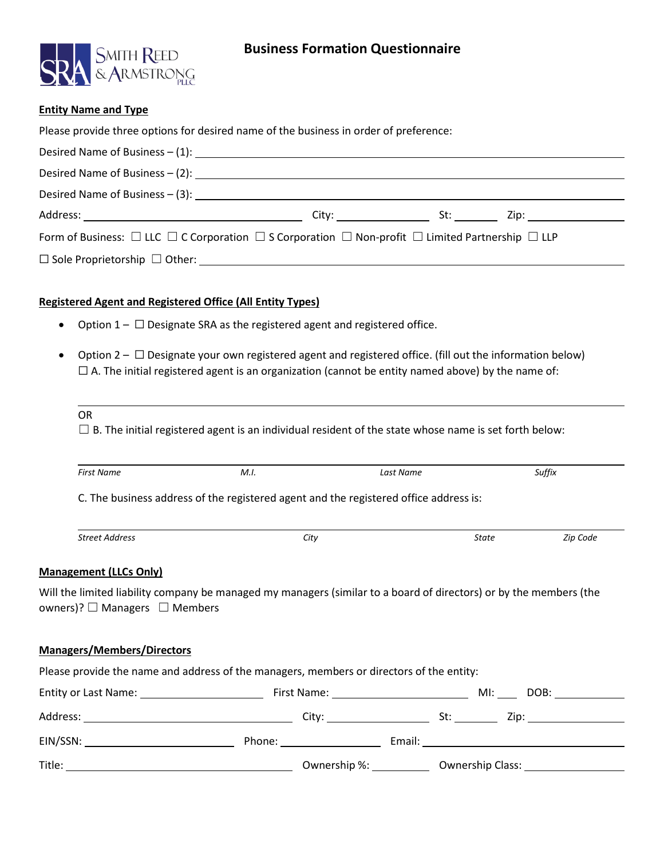

### **Entity Name and Type**

| Please provide three options for desired name of the business in order of preference:                                                                                                                                             |  |  |
|-----------------------------------------------------------------------------------------------------------------------------------------------------------------------------------------------------------------------------------|--|--|
| Desired Name of Business – (1): $\frac{1}{2}$ = 0.000 mm = 0.000 mm = 0.000 mm = 0.000 mm = 0.000 mm = 0.000 mm = 0.000 mm = 0.000 mm = 0.000 mm = 0.000 mm = 0.000 mm = 0.000 mm = 0.000 mm = 0.000 mm = 0.000 mm = 0.000 mm = 0 |  |  |
|                                                                                                                                                                                                                                   |  |  |
|                                                                                                                                                                                                                                   |  |  |
|                                                                                                                                                                                                                                   |  |  |
| Form of Business: $\Box$ LLC $\Box$ C Corporation $\Box$ S Corporation $\Box$ Non-profit $\Box$ Limited Partnership $\Box$ LLP                                                                                                    |  |  |
|                                                                                                                                                                                                                                   |  |  |
|                                                                                                                                                                                                                                   |  |  |

## **Registered Agent and Registered Office (All Entity Types)**

- Option  $1 \Box$  Designate SRA as the registered agent and registered office.
- Option  $2 \Box$  Designate your own registered agent and registered office. (fill out the information below)  $\Box$  A. The initial registered agent is an organization (cannot be entity named above) by the name of:

 $\Box$  B. The initial registered agent is an individual resident of the state whose name is set forth below:

| <b>First Name</b>                                                                                                                                                                                                              | M.I. |      | Last Name |       | Suffix   |
|--------------------------------------------------------------------------------------------------------------------------------------------------------------------------------------------------------------------------------|------|------|-----------|-------|----------|
| C. The business address of the registered agent and the registered office address is:                                                                                                                                          |      |      |           |       |          |
| <b>Street Address</b>                                                                                                                                                                                                          |      | City |           | State | Zip Code |
| <b>Management (LLCs Only)</b>                                                                                                                                                                                                  |      |      |           |       |          |
| Will the limited liability company be managed my managers (similar to a board of directors) or by the members (the<br>owners)? $\Box$ Managers $\Box$ Members                                                                  |      |      |           |       |          |
| <b>Managers/Members/Directors</b>                                                                                                                                                                                              |      |      |           |       |          |
| Please provide the name and address of the managers, members or directors of the entity:                                                                                                                                       |      |      |           |       |          |
| Entity or Last Name: The Contract of Contract Contract Contract Contract Contract Contract Contract Contract Contract Contract Contract Contract Contract Contract Contract Contract Contract Contract Contract Contract Contr |      |      |           |       |          |
|                                                                                                                                                                                                                                |      |      |           |       |          |
|                                                                                                                                                                                                                                |      |      |           |       |          |
|                                                                                                                                                                                                                                |      |      |           |       |          |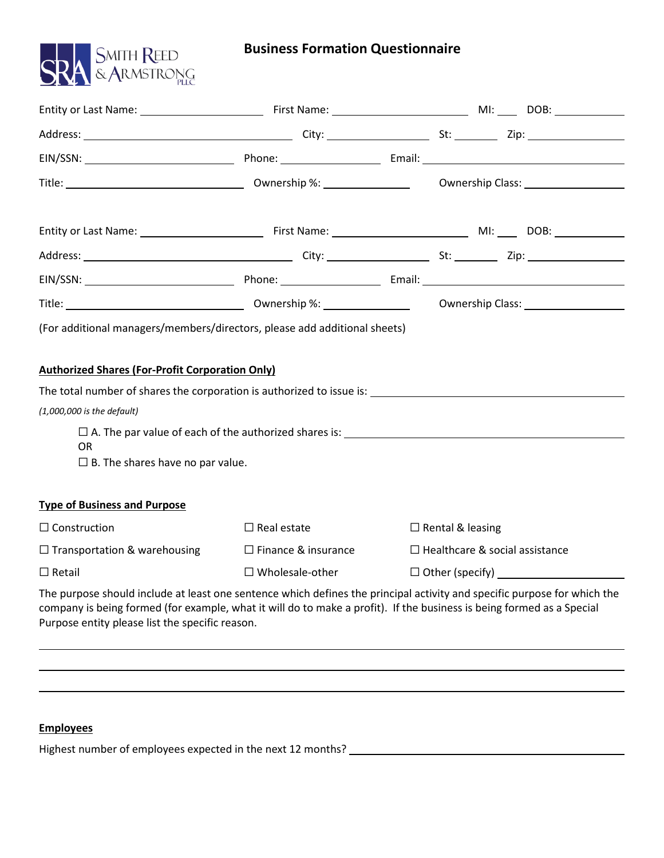

# **Business Formation Questionnaire**

| Title: 1990 March 2010 March 2010 Movement Development Communication Class: 1991 March 2010 March 2010 March 2010 March 2010 March 2010 March 2010 March 2010 March 2010 March 2010 March 2010 March 2010 March 2010 March 201                                                                       |                            |                                       |  |  |
|------------------------------------------------------------------------------------------------------------------------------------------------------------------------------------------------------------------------------------------------------------------------------------------------------|----------------------------|---------------------------------------|--|--|
|                                                                                                                                                                                                                                                                                                      |                            |                                       |  |  |
|                                                                                                                                                                                                                                                                                                      |                            |                                       |  |  |
|                                                                                                                                                                                                                                                                                                      |                            |                                       |  |  |
|                                                                                                                                                                                                                                                                                                      |                            |                                       |  |  |
| Title: 1988) March 2014 Contract Communication Communication Class: 2008 March 2014 March 2014 Communication Class:                                                                                                                                                                                  |                            |                                       |  |  |
| (For additional managers/members/directors, please add additional sheets)                                                                                                                                                                                                                            |                            |                                       |  |  |
| <b>Authorized Shares (For-Profit Corporation Only)</b>                                                                                                                                                                                                                                               |                            |                                       |  |  |
|                                                                                                                                                                                                                                                                                                      |                            |                                       |  |  |
| $(1,000,000$ is the default)                                                                                                                                                                                                                                                                         |                            |                                       |  |  |
| <b>OR</b>                                                                                                                                                                                                                                                                                            |                            |                                       |  |  |
| $\Box$ B. The shares have no par value.                                                                                                                                                                                                                                                              |                            |                                       |  |  |
|                                                                                                                                                                                                                                                                                                      |                            |                                       |  |  |
| <b>Type of Business and Purpose</b>                                                                                                                                                                                                                                                                  |                            |                                       |  |  |
| $\Box$ Construction                                                                                                                                                                                                                                                                                  | $\Box$ Real estate         | $\Box$ Rental & leasing               |  |  |
| $\Box$ Transportation & warehousing                                                                                                                                                                                                                                                                  | $\Box$ Finance & insurance | $\Box$ Healthcare & social assistance |  |  |
| $\Box$ Retail                                                                                                                                                                                                                                                                                        | $\square$ Wholesale-other  |                                       |  |  |
| The purpose should include at least one sentence which defines the principal activity and specific purpose for which the<br>company is being formed (for example, what it will do to make a profit). If the business is being formed as a Special<br>Purpose entity please list the specific reason. |                            |                                       |  |  |

# **Employees**

Highest number of employees expected in the next 12 months?